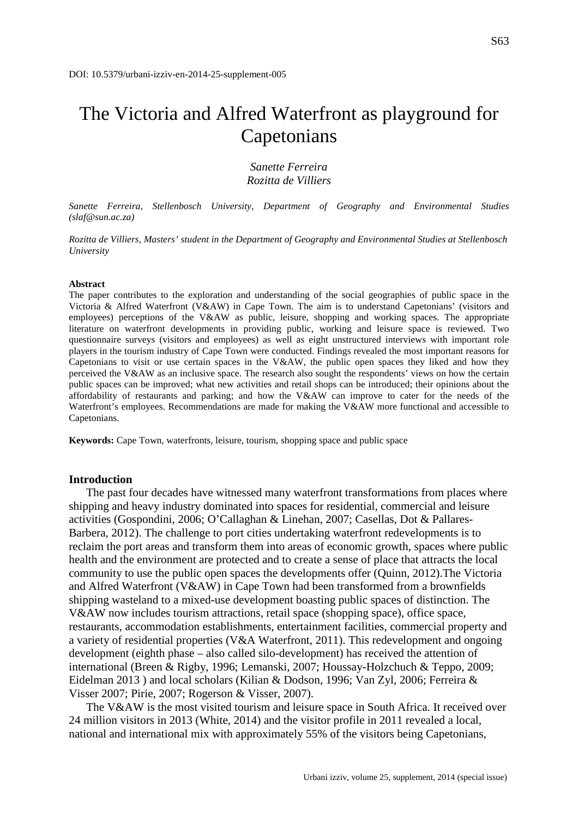# The Victoria and Alfred Waterfront as playground for Capetonians

*Sanette Ferreira Rozitta de Villiers*

*Sanette Ferreira, Stellenbosch University, Department of Geography and Environmental Studies (slaf@sun.ac.za)*

*Rozitta de Villiers, Masters' student in the Department of Geography and Environmental Studies at Stellenbosch University*

#### **Abstract**

The paper contributes to the exploration and understanding of the social geographies of public space in the Victoria & Alfred Waterfront (V&AW) in Cape Town. The aim is to understand Capetonians' (visitors and employees) perceptions of the V&AW as public, leisure, shopping and working spaces. The appropriate literature on waterfront developments in providing public, working and leisure space is reviewed. Two questionnaire surveys (visitors and employees) as well as eight unstructured interviews with important role players in the tourism industry of Cape Town were conducted. Findings revealed the most important reasons for Capetonians to visit or use certain spaces in the V&AW, the public open spaces they liked and how they perceived the V&AW as an inclusive space. The research also sought the respondents' views on how the certain public spaces can be improved; what new activities and retail shops can be introduced; their opinions about the affordability of restaurants and parking; and how the V&AW can improve to cater for the needs of the Waterfront's employees. Recommendations are made for making the V&AW more functional and accessible to Capetonians.

**Keywords:** Cape Town, waterfronts, leisure, tourism, shopping space and public space

#### **Introduction**

The past four decades have witnessed many waterfront transformations from places where shipping and heavy industry dominated into spaces for residential, commercial and leisure activities (Gospondini, 2006; O'Callaghan & Linehan, 2007; Casellas, Dot & Pallares-Barbera, 2012). The challenge to port cities undertaking waterfront redevelopments is to reclaim the port areas and transform them into areas of economic growth, spaces where public health and the environment are protected and to create a sense of place that attracts the local community to use the public open spaces the developments offer (Quinn, 2012).The Victoria and Alfred Waterfront (V&AW) in Cape Town had been transformed from a brownfields shipping wasteland to a mixed-use development boasting public spaces of distinction. The V&AW now includes tourism attractions, retail space (shopping space), office space, restaurants, accommodation establishments, entertainment facilities, commercial property and a variety of residential properties (V&A Waterfront, 2011). This redevelopment and ongoing development (eighth phase – also called silo-development) has received the attention of international (Breen & Rigby, 1996; Lemanski, 2007; Houssay-Holzchuch & Teppo, 2009; Eidelman 2013 ) and local scholars (Kilian & Dodson, 1996; Van Zyl, 2006; Ferreira & Visser 2007; Pirie, 2007; Rogerson & Visser, 2007).

The V&AW is the most visited tourism and leisure space in South Africa. It received over 24 million visitors in 2013 (White, 2014) and the visitor profile in 2011 revealed a local, national and international mix with approximately 55% of the visitors being Capetonians,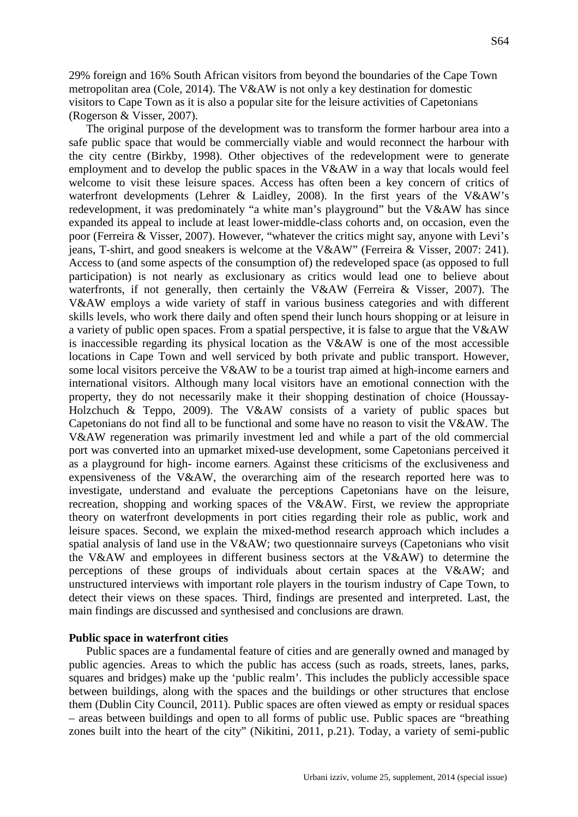29% foreign and 16% South African visitors from beyond the boundaries of the Cape Town metropolitan area (Cole, 2014). The V&AW is not only a key destination for domestic visitors to Cape Town as it is also a popular site for the leisure activities of Capetonians (Rogerson & Visser, 2007).

The original purpose of the development was to transform the former harbour area into a safe public space that would be commercially viable and would reconnect the harbour with the city centre (Birkby, 1998). Other objectives of the redevelopment were to generate employment and to develop the public spaces in the V&AW in a way that locals would feel welcome to visit these leisure spaces. Access has often been a key concern of critics of waterfront developments (Lehrer & Laidley, 2008). In the first years of the V&AW's redevelopment, it was predominately "a white man's playground" but the V&AW has since expanded its appeal to include at least lower-middle-class cohorts and, on occasion, even the poor (Ferreira & Visser, 2007). However, "whatever the critics might say, anyone with Levi's jeans, T-shirt, and good sneakers is welcome at the V&AW" (Ferreira & Visser, 2007: 241). Access to (and some aspects of the consumption of) the redeveloped space (as opposed to full participation) is not nearly as exclusionary as critics would lead one to believe about waterfronts, if not generally, then certainly the V&AW (Ferreira & Visser, 2007). The V&AW employs a wide variety of staff in various business categories and with different skills levels, who work there daily and often spend their lunch hours shopping or at leisure in a variety of public open spaces. From a spatial perspective, it is false to argue that the V&AW is inaccessible regarding its physical location as the V&AW is one of the most accessible locations in Cape Town and well serviced by both private and public transport. However, some local visitors perceive the V&AW to be a tourist trap aimed at high-income earners and international visitors. Although many local visitors have an emotional connection with the property, they do not necessarily make it their shopping destination of choice (Houssay-Holzchuch & Teppo, 2009). The V&AW consists of a variety of public spaces but Capetonians do not find all to be functional and some have no reason to visit the V&AW. The V&AW regeneration was primarily investment led and while a part of the old commercial port was converted into an upmarket mixed-use development, some Capetonians perceived it as a playground for high- income earners. Against these criticisms of the exclusiveness and expensiveness of the V&AW, the overarching aim of the research reported here was to investigate, understand and evaluate the perceptions Capetonians have on the leisure, recreation, shopping and working spaces of the V&AW. First, we review the appropriate theory on waterfront developments in port cities regarding their role as public, work and leisure spaces. Second, we explain the mixed-method research approach which includes a spatial analysis of land use in the V&AW; two questionnaire surveys (Capetonians who visit the V&AW and employees in different business sectors at the V&AW) to determine the perceptions of these groups of individuals about certain spaces at the V&AW; and unstructured interviews with important role players in the tourism industry of Cape Town, to detect their views on these spaces. Third, findings are presented and interpreted. Last, the main findings are discussed and synthesised and conclusions are drawn.

# **Public space in waterfront cities**

Public spaces are a fundamental feature of cities and are generally owned and managed by public agencies. Areas to which the public has access (such as roads, streets, lanes, parks, squares and bridges) make up the 'public realm'. This includes the publicly accessible space between buildings, along with the spaces and the buildings or other structures that enclose them (Dublin City Council, 2011). Public spaces are often viewed as empty or residual spaces – areas between buildings and open to all forms of public use. Public spaces are "breathing zones built into the heart of the city" (Nikitini, 2011, p.21). Today, a variety of semi-public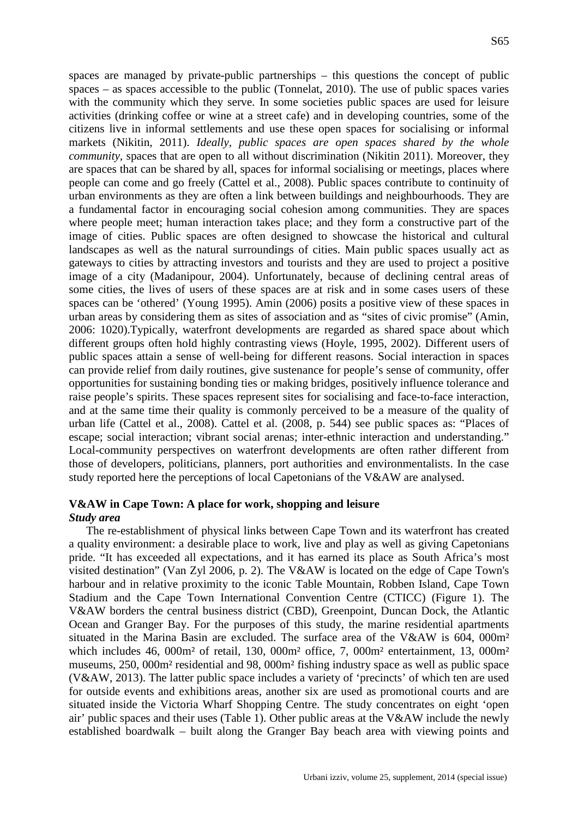spaces are managed by private-public partnerships – this questions the concept of public spaces – as spaces accessible to the public (Tonnelat, 2010). The use of public spaces varies with the community which they serve. In some societies public spaces are used for leisure activities (drinking coffee or wine at a street cafe) and in developing countries, some of the citizens live in informal settlements and use these open spaces for socialising or informal markets (Nikitin, 2011). *Ideally, public spaces are open spaces shared by the whole community, spaces that are open to all without discrimination (Nikitin 2011). Moreover, they* are spaces that can be shared by all, spaces for informal socialising or meetings, places where people can come and go freely (Cattel et al., 2008). Public spaces contribute to continuity of urban environments as they are often a link between buildings and neighbourhoods. They are a fundamental factor in encouraging social cohesion among communities. They are spaces where people meet; human interaction takes place; and they form a constructive part of the image of cities. Public spaces are often designed to showcase the historical and cultural landscapes as well as the natural surroundings of cities. Main public spaces usually act as gateways to cities by attracting investors and tourists and they are used to project a positive image of a city (Madanipour, 2004). Unfortunately, because of declining central areas of some cities, the lives of users of these spaces are at risk and in some cases users of these spaces can be 'othered' (Young 1995). Amin (2006) posits a positive view of these spaces in urban areas by considering them as sites of association and as "sites of civic promise" (Amin, 2006: 1020).Typically, waterfront developments are regarded as shared space about which different groups often hold highly contrasting views (Hoyle, 1995, 2002). Different users of public spaces attain a sense of well-being for different reasons. Social interaction in spaces can provide relief from daily routines, give sustenance for people's sense of community, offer opportunities for sustaining bonding ties or making bridges, positively influence tolerance and raise people's spirits. These spaces represent sites for socialising and face-to-face interaction, and at the same time their quality is commonly perceived to be a measure of the quality of urban life (Cattel et al., 2008). Cattel et al. (2008, p. 544) see public spaces as: "Places of escape; social interaction; vibrant social arenas; inter-ethnic interaction and understanding." Local-community perspectives on waterfront developments are often rather different from those of developers, politicians, planners, port authorities and environmentalists. In the case study reported here the perceptions of local Capetonians of the V&AW are analysed.

# **V&AW in Cape Town: A place for work, shopping and leisure** *Study area*

The re-establishment of physical links between Cape Town and its waterfront has created a quality environment: a desirable place to work, live and play as well as giving Capetonians pride. "It has exceeded all expectations, and it has earned its place as South Africa's most visited destination" (Van Zyl 2006, p. 2). The V&AW is located on the edge of Cape Town's harbour and in relative proximity to the iconic Table Mountain, Robben Island, Cape Town Stadium and the Cape Town International Convention Centre (CTICC) (Figure 1). The V&AW borders the central business district (CBD), Greenpoint, Duncan Dock, the Atlantic Ocean and Granger Bay. For the purposes of this study, the marine residential apartments situated in the Marina Basin are excluded. The surface area of the V&AW is 604, 000m² which includes 46, 000m<sup>2</sup> of retail, 130, 000m<sup>2</sup> office, 7, 000m<sup>2</sup> entertainment, 13, 000m<sup>2</sup> museums, 250, 000m² residential and 98, 000m² fishing industry space as well as public space (V&AW, 2013). The latter public space includes a variety of 'precincts' of which ten are used for outside events and exhibitions areas, another six are used as promotional courts and are situated inside the Victoria Wharf Shopping Centre. The study concentrates on eight 'open air' public spaces and their uses (Table 1). Other public areas at the V&AW include the newly established boardwalk – built along the Granger Bay beach area with viewing points and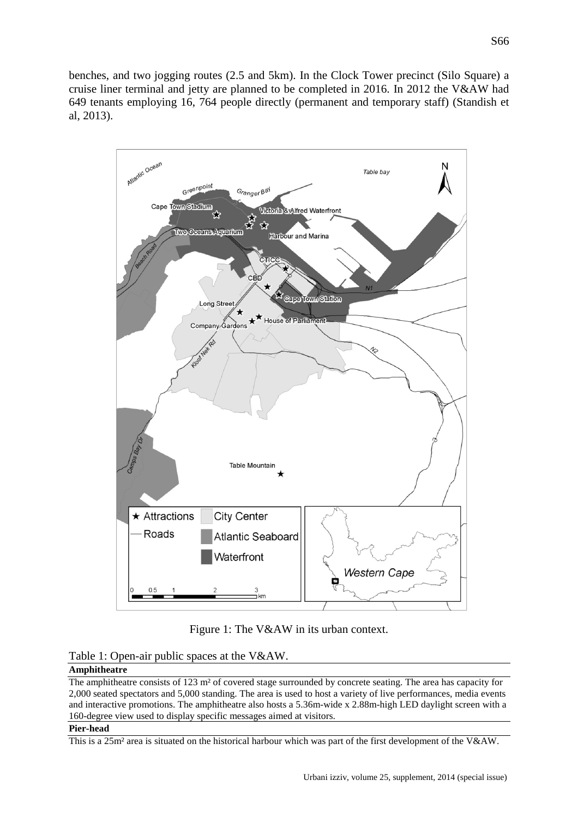benches, and two jogging routes (2.5 and 5km). In the Clock Tower precinct (Silo Square) a cruise liner terminal and jetty are planned to be completed in 2016. In 2012 the V&AW had 649 tenants employing 16, 764 people directly (permanent and temporary staff) (Standish et al, 2013).



Figure 1: The V&AW in its urban context.

Table 1: Open-air public spaces at the V&AW.

# **Amphitheatre**

The amphitheatre consists of 123 m² of covered stage surrounded by concrete seating. The area has capacity for 2,000 seated spectators and 5,000 standing. The area is used to host a variety of live performances, media events and interactive promotions. The amphitheatre also hosts a 5.36m-wide x 2.88m-high LED daylight screen with a 160-degree view used to display specific messages aimed at visitors.

## **Pier-head**

This is a 25m² area is situated on the historical harbour which was part of the first development of the V&AW.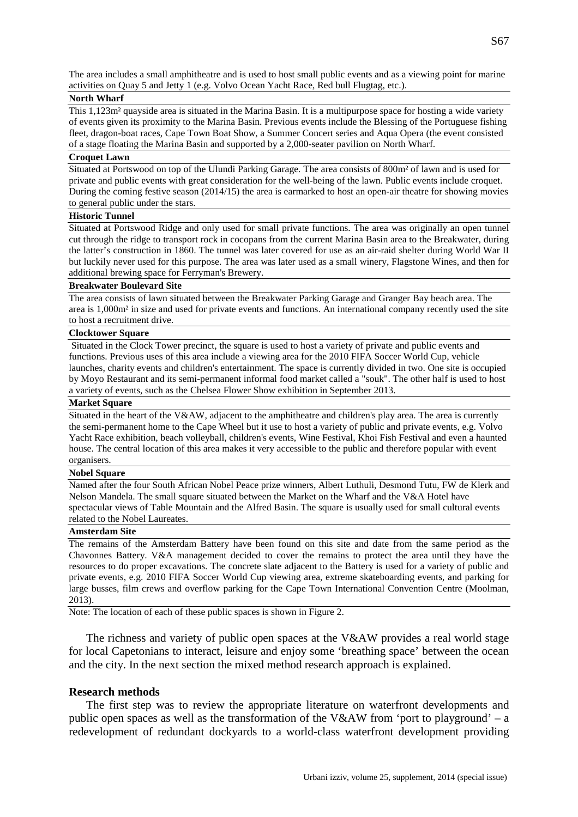The area includes a small amphitheatre and is used to host small public events and as a viewing point for marine activities on Quay 5 and Jetty 1 (e.g. Volvo Ocean Yacht Race, Red bull Flugtag, etc.).

#### **North Wharf**

This 1,123m² quayside area is situated in the Marina Basin. It is a multipurpose space for hosting a wide variety of events given its proximity to the Marina Basin. Previous events include the Blessing of the Portuguese fishing fleet, dragon-boat races, Cape Town Boat Show, a Summer Concert series and Aqua Opera (the event consisted of a stage floating the Marina Basin and supported by a 2,000-seater pavilion on North Wharf.

## **Croquet Lawn**

Situated at Portswood on top of the Ulundi Parking Garage. The area consists of 800m² of lawn and is used for private and public events with great consideration for the well-being of the lawn. Public events include croquet. During the coming festive season (2014/15) the area is earmarked to host an open-air theatre for showing movies to general public under the stars.

#### **Historic Tunnel**

Situated at Portswood Ridge and only used for small private functions. The area was originally an open tunnel cut through the ridge to transport rock in cocopans from the current Marina Basin area to the Breakwater, during the latter's construction in 1860. The tunnel was later covered for use as an air-raid shelter during World War II but luckily never used for this purpose. The area was later used as a small winery, Flagstone Wines, and then for additional brewing space for Ferryman's Brewery.

#### **Breakwater Boulevard Site**

The area consists of lawn situated between the Breakwater Parking Garage and Granger Bay beach area. The area is 1,000m² in size and used for private events and functions. An international company recently used the site to host a recruitment drive.

#### **Clocktower Square**

Situated in the Clock Tower precinct, the square is used to host a variety of private and public events and functions. Previous uses of this area include a viewing area for the 2010 FIFA Soccer World Cup, vehicle launches, charity events and children's entertainment. The space is currently divided in two. One site is occupied by Moyo Restaurant and its semi-permanent informal food market called a "souk". The other half is used to host a variety of events, such as the Chelsea Flower Show exhibition in September 2013.

#### **Market Square**

Situated in the heart of the V&AW, adjacent to the amphitheatre and children's play area. The area is currently the semi-permanent home to the Cape Wheel but it use to host a variety of public and private events, e.g. Volvo Yacht Race exhibition, beach volleyball, children's events, Wine Festival, Khoi Fish Festival and even a haunted house. The central location of this area makes it very accessible to the public and therefore popular with event organisers.

### **Nobel Square**

Named after the four South African Nobel Peace prize winners, Albert Luthuli, Desmond Tutu, FW de Klerk and Nelson Mandela. The small square situated between the Market on the Wharf and the V&A Hotel have spectacular views of Table Mountain and the Alfred Basin. The square is usually used for small cultural events related to the Nobel Laureates.

#### **Amsterdam Site**

The remains of the Amsterdam Battery have been found on this site and date from the same period as the Chavonnes Battery. V&A management decided to cover the remains to protect the area until they have the resources to do proper excavations. The concrete slate adjacent to the Battery is used for a variety of public and private events, e.g. 2010 FIFA Soccer World Cup viewing area, extreme skateboarding events, and parking for large busses, film crews and overflow parking for the Cape Town International Convention Centre (Moolman, 2013).

Note: The location of each of these public spaces is shown in Figure 2.

The richness and variety of public open spaces at the V&AW provides a real world stage for local Capetonians to interact, leisure and enjoy some 'breathing space' between the ocean and the city. In the next section the mixed method research approach is explained.

## **Research methods**

The first step was to review the appropriate literature on waterfront developments and public open spaces as well as the transformation of the V&AW from 'port to playground' – a redevelopment of redundant dockyards to a world-class waterfront development providing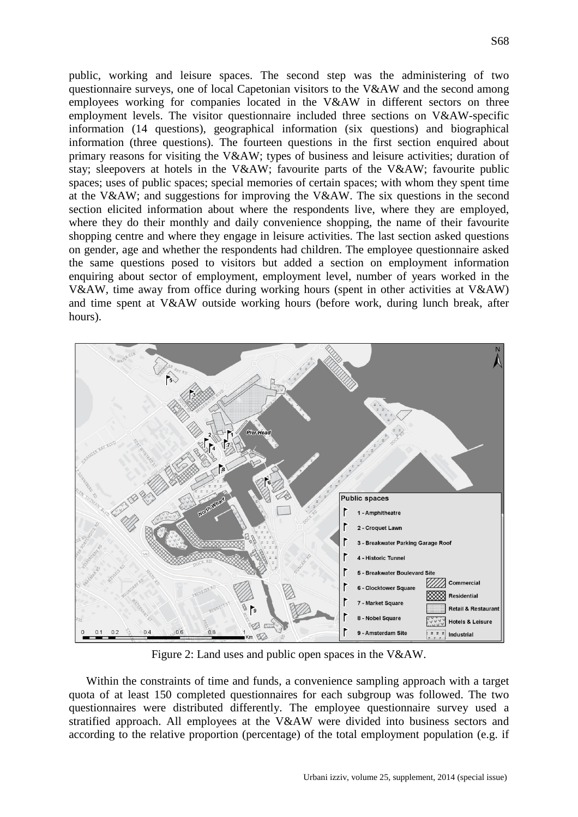public, working and leisure spaces. The second step was the administering of two questionnaire surveys, one of local Capetonian visitors to the V&AW and the second among employees working for companies located in the V&AW in different sectors on three employment levels. The visitor questionnaire included three sections on V&AW-specific information (14 questions), geographical information (six questions) and biographical information (three questions). The fourteen questions in the first section enquired about primary reasons for visiting the V&AW; types of business and leisure activities; duration of stay; sleepovers at hotels in the V&AW; favourite parts of the V&AW; favourite public spaces; uses of public spaces; special memories of certain spaces; with whom they spent time at the V&AW; and suggestions for improving the V&AW. The six questions in the second section elicited information about where the respondents live, where they are employed, where they do their monthly and daily convenience shopping, the name of their favourite shopping centre and where they engage in leisure activities. The last section asked questions on gender, age and whether the respondents had children. The employee questionnaire asked the same questions posed to visitors but added a section on employment information enquiring about sector of employment, employment level, number of years worked in the V&AW, time away from office during working hours (spent in other activities at V&AW) and time spent at V&AW outside working hours (before work, during lunch break, after hours).



Figure 2: Land uses and public open spaces in the V&AW.

Within the constraints of time and funds, a convenience sampling approach with a target quota of at least 150 completed questionnaires for each subgroup was followed. The two questionnaires were distributed differently. The employee questionnaire survey used a stratified approach. All employees at the V&AW were divided into business sectors and according to the relative proportion (percentage) of the total employment population (e.g. if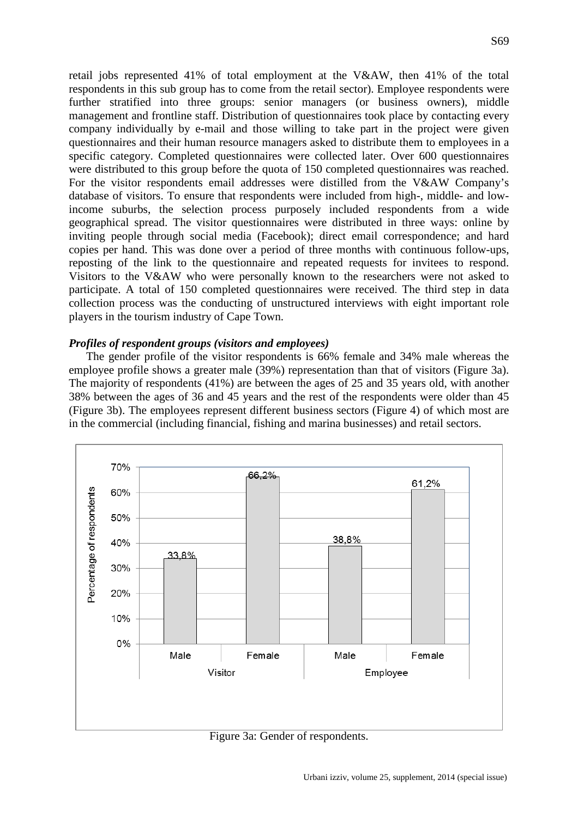retail jobs represented 41% of total employment at the V&AW, then 41% of the total respondents in this sub group has to come from the retail sector). Employee respondents were further stratified into three groups: senior managers (or business owners), middle management and frontline staff. Distribution of questionnaires took place by contacting every company individually by e-mail and those willing to take part in the project were given questionnaires and their human resource managers asked to distribute them to employees in a specific category. Completed questionnaires were collected later. Over 600 questionnaires were distributed to this group before the quota of 150 completed questionnaires was reached. For the visitor respondents email addresses were distilled from the V&AW Company's database of visitors. To ensure that respondents were included from high-, middle- and lowincome suburbs, the selection process purposely included respondents from a wide geographical spread. The visitor questionnaires were distributed in three ways: online by inviting people through social media (Facebook); direct email correspondence; and hard copies per hand. This was done over a period of three months with continuous follow-ups, reposting of the link to the questionnaire and repeated requests for invitees to respond. Visitors to the V&AW who were personally known to the researchers were not asked to participate. A total of 150 completed questionnaires were received. The third step in data collection process was the conducting of unstructured interviews with eight important role players in the tourism industry of Cape Town.

# *Profiles of respondent groups (visitors and employees)*

The gender profile of the visitor respondents is 66% female and 34% male whereas the employee profile shows a greater male (39%) representation than that of visitors (Figure 3a). The majority of respondents (41%) are between the ages of 25 and 35 years old, with another 38% between the ages of 36 and 45 years and the rest of the respondents were older than 45 (Figure 3b). The employees represent different business sectors (Figure 4) of which most are in the commercial (including financial, fishing and marina businesses) and retail sectors.



Figure 3a: Gender of respondents.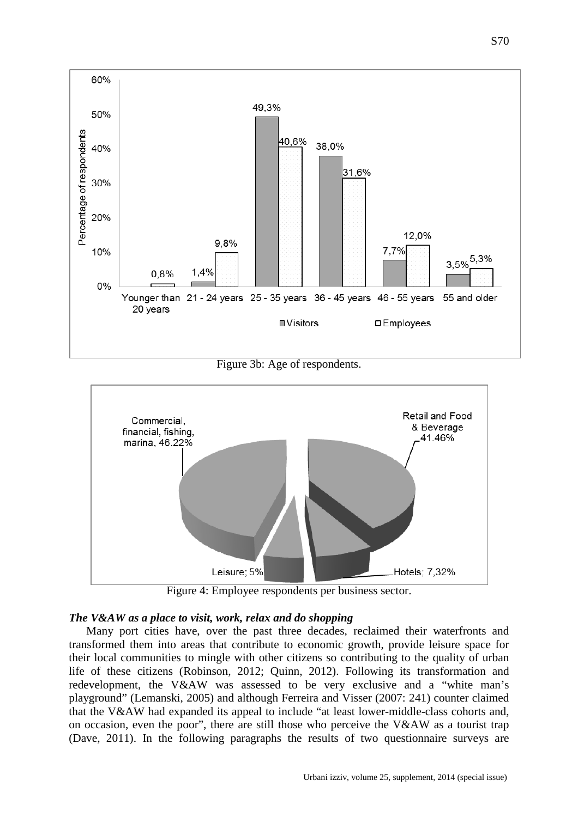

Figure 3b: Age of respondents.



Figure 4: Employee respondents per business sector.

# *The V&AW as a place to visit, work, relax and do shopping*

Many port cities have, over the past three decades, reclaimed their waterfronts and transformed them into areas that contribute to economic growth, provide leisure space for their local communities to mingle with other citizens so contributing to the quality of urban life of these citizens (Robinson, 2012; Quinn, 2012). Following its transformation and redevelopment, the V&AW was assessed to be very exclusive and a "white man's playground" (Lemanski, 2005) and although Ferreira and Visser (2007: 241) counter claimed that the V&AW had expanded its appeal to include "at least lower-middle-class cohorts and, on occasion, even the poor", there are still those who perceive the V&AW as a tourist trap (Dave, 2011). In the following paragraphs the results of two questionnaire surveys are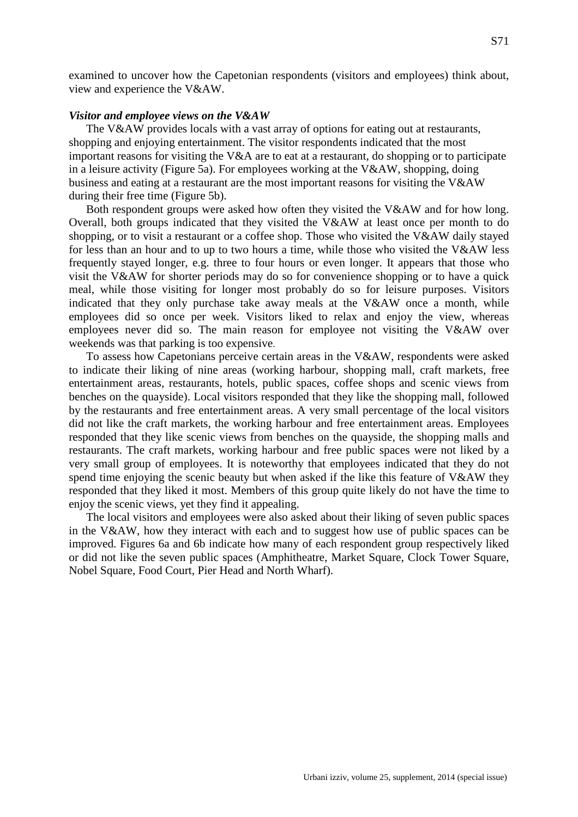examined to uncover how the Capetonian respondents (visitors and employees) think about, view and experience the V&AW.

# *Visitor and employee views on the V&AW*

The V&AW provides locals with a vast array of options for eating out at restaurants, shopping and enjoying entertainment. The visitor respondents indicated that the most important reasons for visiting the V&A are to eat at a restaurant, do shopping or to participate in a leisure activity (Figure 5a). For employees working at the V&AW, shopping, doing business and eating at a restaurant are the most important reasons for visiting the V&AW during their free time (Figure 5b).

Both respondent groups were asked how often they visited the V&AW and for how long. Overall, both groups indicated that they visited the V&AW at least once per month to do shopping, or to visit a restaurant or a coffee shop. Those who visited the V&AW daily stayed for less than an hour and to up to two hours a time, while those who visited the V&AW less frequently stayed longer, e.g. three to four hours or even longer. It appears that those who visit the V&AW for shorter periods may do so for convenience shopping or to have a quick meal, while those visiting for longer most probably do so for leisure purposes. Visitors indicated that they only purchase take away meals at the V&AW once a month, while employees did so once per week. Visitors liked to relax and enjoy the view, whereas employees never did so. The main reason for employee not visiting the V&AW over weekends was that parking is too expensive.

To assess how Capetonians perceive certain areas in the V&AW, respondents were asked to indicate their liking of nine areas (working harbour, shopping mall, craft markets, free entertainment areas, restaurants, hotels, public spaces, coffee shops and scenic views from benches on the quayside). Local visitors responded that they like the shopping mall, followed by the restaurants and free entertainment areas. A very small percentage of the local visitors did not like the craft markets, the working harbour and free entertainment areas. Employees responded that they like scenic views from benches on the quayside, the shopping malls and restaurants. The craft markets, working harbour and free public spaces were not liked by a very small group of employees. It is noteworthy that employees indicated that they do not spend time enjoying the scenic beauty but when asked if the like this feature of V&AW they responded that they liked it most. Members of this group quite likely do not have the time to enjoy the scenic views, yet they find it appealing.

The local visitors and employees were also asked about their liking of seven public spaces in the V&AW, how they interact with each and to suggest how use of public spaces can be improved. Figures 6a and 6b indicate how many of each respondent group respectively liked or did not like the seven public spaces (Amphitheatre, Market Square, Clock Tower Square, Nobel Square, Food Court, Pier Head and North Wharf).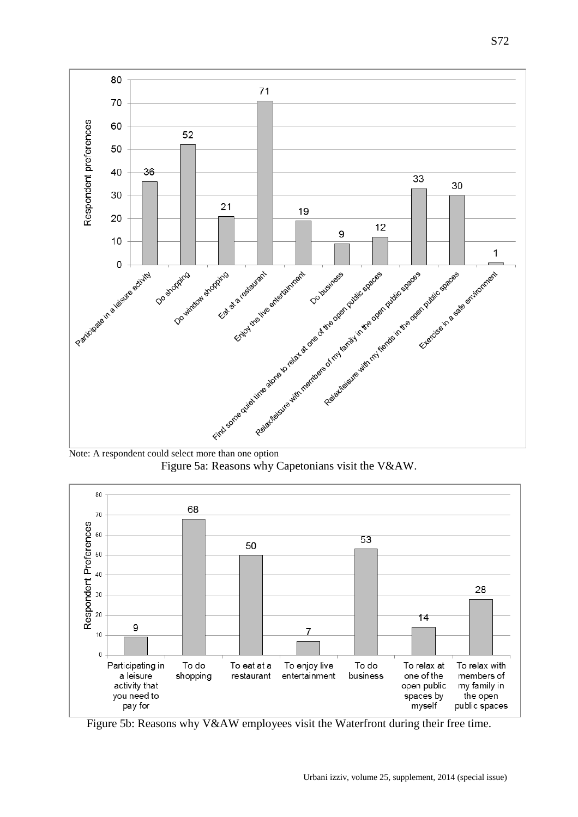





Figure 5b: Reasons why V&AW employees visit the Waterfront during their free time.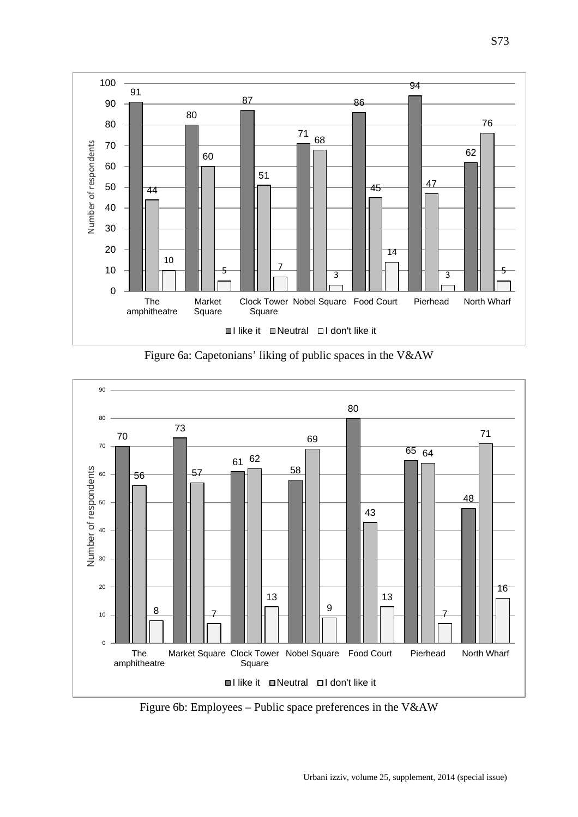

Figure 6a: Capetonians' liking of public spaces in the V&AW



Figure 6b: Employees – Public space preferences in the V&AW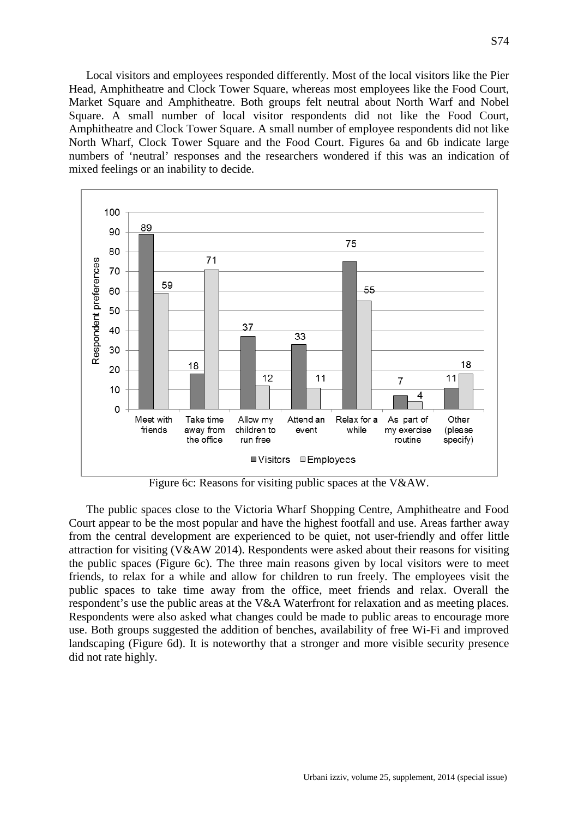Local visitors and employees responded differently. Most of the local visitors like the Pier Head, Amphitheatre and Clock Tower Square, whereas most employees like the Food Court, Market Square and Amphitheatre. Both groups felt neutral about North Warf and Nobel Square. A small number of local visitor respondents did not like the Food Court, Amphitheatre and Clock Tower Square. A small number of employee respondents did not like North Wharf, Clock Tower Square and the Food Court. Figures 6a and 6b indicate large numbers of 'neutral' responses and the researchers wondered if this was an indication of mixed feelings or an inability to decide.



Figure 6c: Reasons for visiting public spaces at the V&AW.

The public spaces close to the Victoria Wharf Shopping Centre, Amphitheatre and Food Court appear to be the most popular and have the highest footfall and use. Areas farther away from the central development are experienced to be quiet, not user-friendly and offer little attraction for visiting (V&AW 2014). Respondents were asked about their reasons for visiting the public spaces (Figure 6c). The three main reasons given by local visitors were to meet friends, to relax for a while and allow for children to run freely. The employees visit the public spaces to take time away from the office, meet friends and relax. Overall the respondent's use the public areas at the V&A Waterfront for relaxation and as meeting places. Respondents were also asked what changes could be made to public areas to encourage more use. Both groups suggested the addition of benches, availability of free Wi-Fi and improved landscaping (Figure 6d). It is noteworthy that a stronger and more visible security presence did not rate highly.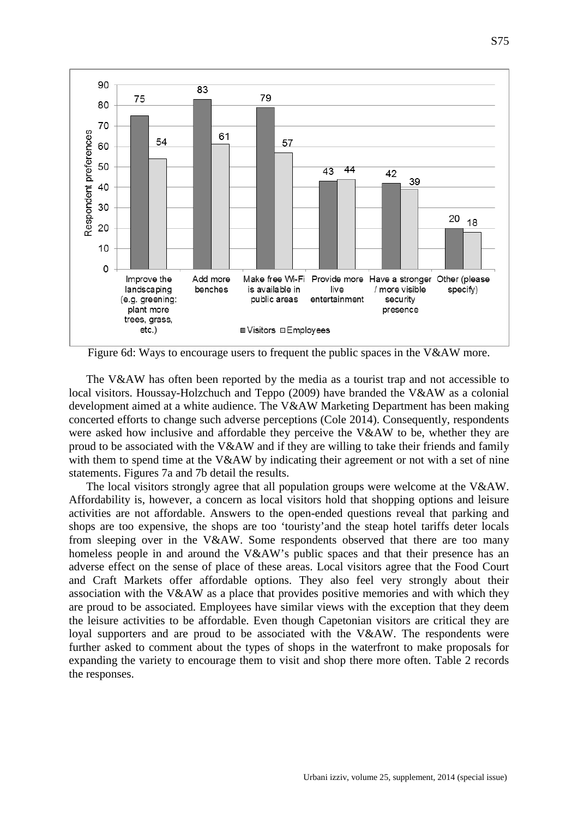

Figure 6d: Ways to encourage users to frequent the public spaces in the V&AW more.

The V&AW has often been reported by the media as a tourist trap and not accessible to local visitors. Houssay-Holzchuch and Teppo (2009) have branded the V&AW as a colonial development aimed at a white audience. The V&AW Marketing Department has been making concerted efforts to change such adverse perceptions (Cole 2014). Consequently, respondents were asked how inclusive and affordable they perceive the V&AW to be, whether they are proud to be associated with the V&AW and if they are willing to take their friends and family with them to spend time at the V&AW by indicating their agreement or not with a set of nine statements. Figures 7a and 7b detail the results.

The local visitors strongly agree that all population groups were welcome at the V&AW. Affordability is, however, a concern as local visitors hold that shopping options and leisure activities are not affordable. Answers to the open-ended questions reveal that parking and shops are too expensive, the shops are too 'touristy'and the steap hotel tariffs deter locals from sleeping over in the V&AW. Some respondents observed that there are too many homeless people in and around the V&AW's public spaces and that their presence has an adverse effect on the sense of place of these areas. Local visitors agree that the Food Court and Craft Markets offer affordable options. They also feel very strongly about their association with the V&AW as a place that provides positive memories and with which they are proud to be associated. Employees have similar views with the exception that they deem the leisure activities to be affordable. Even though Capetonian visitors are critical they are loyal supporters and are proud to be associated with the V&AW. The respondents were further asked to comment about the types of shops in the waterfront to make proposals for expanding the variety to encourage them to visit and shop there more often. Table 2 records the responses.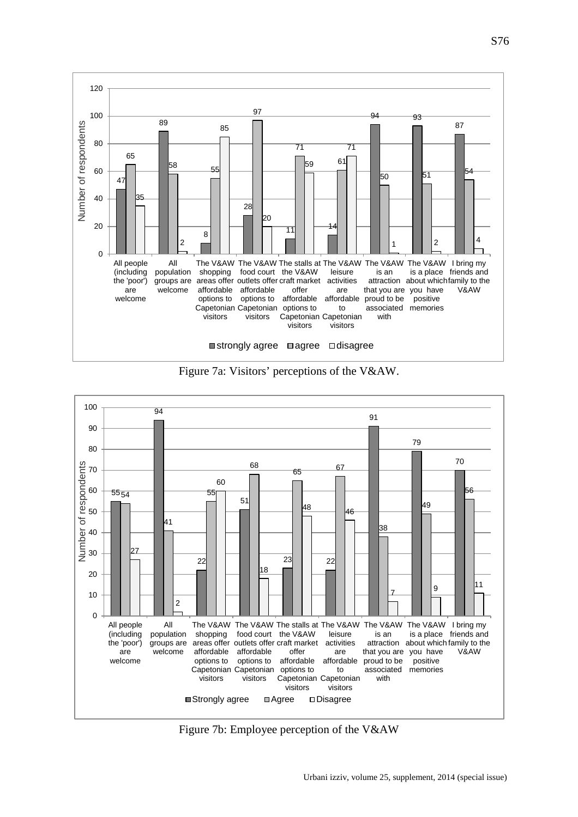

Figure 7a: Visitors' perceptions of the V&AW.



Figure 7b: Employee perception of the V&AW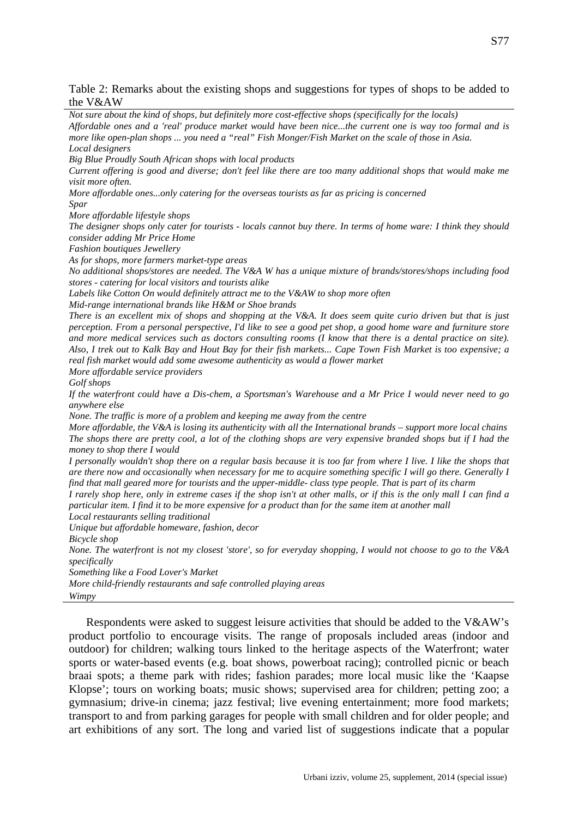Table 2: Remarks about the existing shops and suggestions for types of shops to be added to the V&AW

*Not sure about the kind of shops, but definitely more cost-effective shops (specifically for the locals) Affordable ones and a 'real' produce market would have been nice...the current one is way too formal and is more like open-plan shops ... you need a "real" Fish Monger/Fish Market on the scale of those in Asia. Local designers Big Blue Proudly South African shops with local products Current offering is good and diverse; don't feel like there are too many additional shops that would make me visit more often. More affordable ones...only catering for the overseas tourists as far as pricing is concerned Spar More affordable lifestyle shops The designer shops only cater for tourists - locals cannot buy there. In terms of home ware: I think they should consider adding Mr Price Home Fashion boutiques Jewellery As for shops, more farmers market-type areas No additional shops/stores are needed. The V&A W has a unique mixture of brands/stores/shops including food stores - catering for local visitors and tourists alike Labels like Cotton On would definitely attract me to the V&AW to shop more often Mid-range international brands like H&M or Shoe brands There is an excellent mix of shops and shopping at the V&A. It does seem quite curio driven but that is just perception. From a personal perspective, I'd like to see a good pet shop, a good home ware and furniture store and more medical services such as doctors consulting rooms (I know that there is a dental practice on site). Also, I trek out to Kalk Bay and Hout Bay for their fish markets... Cape Town Fish Market is too expensive; a real fish market would add some awesome authenticity as would a flower market More affordable service providers Golf shops If the waterfront could have a Dis-chem, a Sportsman's Warehouse and a Mr Price I would never need to go anywhere else None. The traffic is more of a problem and keeping me away from the centre More affordable, the V&A is losing its authenticity with all the International brands – support more local chains The shops there are pretty cool, a lot of the clothing shops are very expensive branded shops but if I had the money to shop there I would I personally wouldn't shop there on a regular basis because it is too far from where I live. I like the shops that are there now and occasionally when necessary for me to acquire something specific I will go there. Generally I find that mall geared more for tourists and the upper-middle- class type people. That is part of its charm I rarely shop here, only in extreme cases if the shop isn't at other malls, or if this is the only mall I can find a particular item. I find it to be more expensive for a product than for the same item at another mall Local restaurants selling traditional Unique but affordable homeware, fashion, decor Bicycle shop None. The waterfront is not my closest 'store', so for everyday shopping, I would not choose to go to the V&A specifically Something like a Food Lover's Market More child-friendly restaurants and safe controlled playing areas Wimpy* Respondents were asked to suggest leisure activities that should be added to the V&AW's

product portfolio to encourage visits. The range of proposals included areas (indoor and outdoor) for children; walking tours linked to the heritage aspects of the Waterfront; water sports or water-based events (e.g. boat shows, powerboat racing); controlled picnic or beach braai spots; a theme park with rides; fashion parades; more local music like the 'Kaapse Klopse'; tours on working boats; music shows; supervised area for children; petting zoo; a gymnasium; drive-in cinema; jazz festival; live evening entertainment; more food markets; transport to and from parking garages for people with small children and for older people; and art exhibitions of any sort. The long and varied list of suggestions indicate that a popular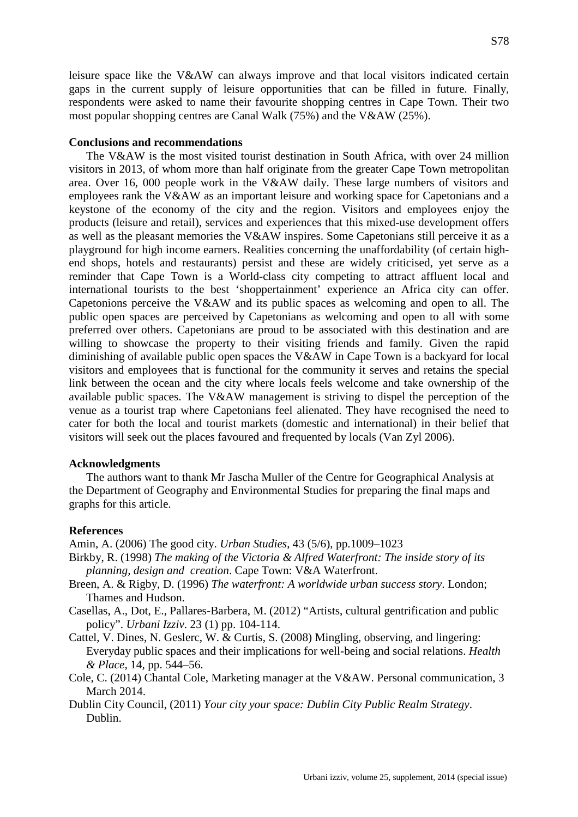leisure space like the V&AW can always improve and that local visitors indicated certain gaps in the current supply of leisure opportunities that can be filled in future. Finally, respondents were asked to name their favourite shopping centres in Cape Town. Their two most popular shopping centres are Canal Walk (75%) and the V&AW (25%).

# **Conclusions and recommendations**

The V&AW is the most visited tourist destination in South Africa, with over 24 million visitors in 2013, of whom more than half originate from the greater Cape Town metropolitan area. Over 16, 000 people work in the V&AW daily. These large numbers of visitors and employees rank the V&AW as an important leisure and working space for Capetonians and a keystone of the economy of the city and the region. Visitors and employees enjoy the products (leisure and retail), services and experiences that this mixed-use development offers as well as the pleasant memories the V&AW inspires. Some Capetonians still perceive it as a playground for high income earners. Realities concerning the unaffordability (of certain highend shops, hotels and restaurants) persist and these are widely criticised, yet serve as a reminder that Cape Town is a World-class city competing to attract affluent local and international tourists to the best 'shoppertainment' experience an Africa city can offer. Capetonions perceive the V&AW and its public spaces as welcoming and open to all. The public open spaces are perceived by Capetonians as welcoming and open to all with some preferred over others. Capetonians are proud to be associated with this destination and are willing to showcase the property to their visiting friends and family. Given the rapid diminishing of available public open spaces the V&AW in Cape Town is a backyard for local visitors and employees that is functional for the community it serves and retains the special link between the ocean and the city where locals feels welcome and take ownership of the available public spaces. The V&AW management is striving to dispel the perception of the venue as a tourist trap where Capetonians feel alienated. They have recognised the need to cater for both the local and tourist markets (domestic and international) in their belief that visitors will seek out the places favoured and frequented by locals (Van Zyl 2006).

# **Acknowledgments**

The authors want to thank Mr Jascha Muller of the Centre for Geographical Analysis at the Department of Geography and Environmental Studies for preparing the final maps and graphs for this article.

## **References**

Amin, A. (2006) The good city. *Urban Studies*, 43 (5/6), pp.1009–1023

- Birkby, R. (1998) *The making of the Victoria & Alfred Waterfront: The inside story of its planning, design and creation*. Cape Town: V&A Waterfront.
- Breen, A. & Rigby, D. (1996) *The waterfront: A worldwide urban success story*. London; Thames and Hudson.
- Casellas, A., Dot, E., Pallares-Barbera, M. (2012) "Artists, cultural gentrification and public policy". *Urbani Izziv*. 23 (1) pp. 104-114.
- Cattel, V. Dines, N. Geslerc, W. & Curtis, S. (2008) Mingling, observing, and lingering: Everyday public spaces and their implications for well-being and social relations. *Health & Place,* 14*,* pp. 544–56.
- Cole, C. (2014) Chantal Cole, Marketing manager at the V&AW. Personal communication, 3 March 2014.
- Dublin City Council, (2011) *Your city your space: Dublin City Public Realm Strategy*. Dublin.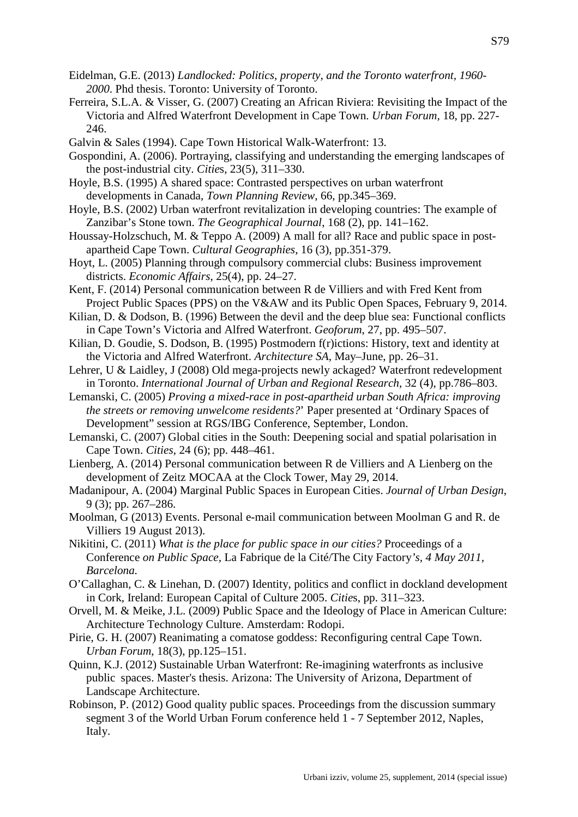- Eidelman, G.E. (2013) *Landlocked: Politics, property, and the Toronto waterfront, 1960- 2000*. Phd thesis. Toronto: University of Toronto.
- Ferreira, S.L.A. & Visser, G. (2007) Creating an African Riviera: Revisiting the Impact of the Victoria and Alfred Waterfront Development in Cape Town. *Urban Forum,* 18, pp. 227- 246.
- Galvin & Sales (1994). Cape Town Historical Walk-Waterfront: 13.
- Gospondini, A. (2006). Portraying, classifying and understanding the emerging landscapes of the post-industrial city. *Citie*s, 23(5), 311–330.
- Hoyle, B.S. (1995) A shared space: Contrasted perspectives on urban waterfront developments in Canada, *Town Planning Review*, 66, pp.345–369.
- Hoyle, B.S. (2002) Urban waterfront revitalization in developing countries: The example of Zanzibar's Stone town. *The Geographical Journal*, 168 (2), pp. 141–162.
- Houssay-Holzschuch, M. & Teppo A. (2009) A mall for all? Race and public space in postapartheid Cape Town. *Cultural Geographies*, 16 (3), pp.351-379.
- Hoyt, L. (2005) Planning through compulsory commercial clubs: Business improvement districts. *Economic Affairs*, 25(4), pp. 24–27.
- Kent, F. (2014) Personal communication between R de Villiers and with Fred Kent from Project Public Spaces (PPS) on the V&AW and its Public Open Spaces, February 9, 2014.
- Kilian, D. & Dodson, B. (1996) Between the devil and the deep blue sea: Functional conflicts in Cape Town's Victoria and Alfred Waterfront. *Geoforum*, 27, pp. 495–507.
- Kilian, D. Goudie, S. Dodson, B. (1995) Postmodern f(r)ictions: History, text and identity at the Victoria and Alfred Waterfront. *Architecture SA*, May–June, pp. 26–31.
- Lehrer, U & Laidley, J (2008) Old mega-projects newly ackaged? Waterfront redevelopment in Toronto. *International Journal of Urban and Regional Research*, 32 (4), pp.786–803.
- Lemanski, C. (2005) *Proving a mixed-race in post-apartheid urban South Africa: improving the streets or removing unwelcome residents?*' Paper presented at 'Ordinary Spaces of Development" session at RGS/IBG Conference, September, London.
- Lemanski, C. (2007) Global cities in the South: Deepening social and spatial polarisation in Cape Town. *Cities*, 24 (6); pp. 448–461.
- Lienberg, A. (2014) Personal communication between R de Villiers and A Lienberg on the development of Zeitz MOCAA at the Clock Tower, May 29, 2014.
- Madanipour, A. (2004) Marginal Public Spaces in European Cities. *Journal of Urban Design*, 9 (3); pp. 267–286.
- Moolman, G (2013) Events. Personal e-mail communication between Moolman G and R. de Villiers 19 August 2013).
- Nikitini, C. (2011) *What is the place for public space in our cities?* Proceedings of a Conference *on Public Space,* La Fabrique de la Cité/The City Factory*'s, 4 May 2011, Barcelona.*
- O'Callaghan, C. & Linehan, D. (2007) Identity, politics and conflict in dockland development in Cork, Ireland: European Capital of Culture 2005. *Citie*s, pp. 311–323.
- Orvell, M. & Meike, J.L. (2009) Public Space and the Ideology of Place in American Culture: Architecture Technology Culture. Amsterdam: Rodopi.
- Pirie, G. H. (2007) Reanimating a comatose goddess: Reconfiguring central Cape Town. *Urban Forum*, 18(3), pp.125–151.
- Quinn, K.J. (2012) Sustainable Urban Waterfront: Re-imagining waterfronts as inclusive public spaces. Master's thesis. Arizona: The University of Arizona, Department of Landscape Architecture.
- Robinson, P. (2012) Good quality public spaces. Proceedings from the discussion summary segment 3 of the World Urban Forum conference held 1 - 7 September 2012, Naples, Italy.